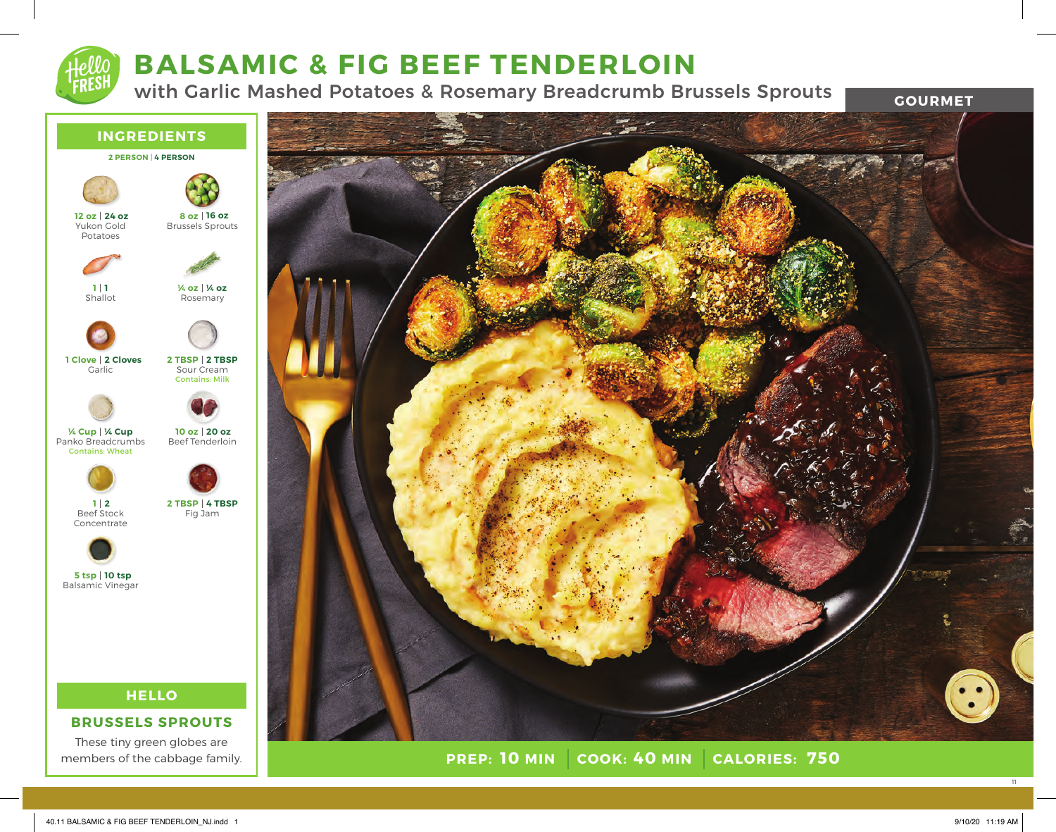# **BALSAMIC & FIG BEEF TENDERLOIN**

with Garlic Mashed Potatoes & Rosemary Breadcrumb Brussels Sprouts

**GOURMET**





**PREP: COOK: CALORIES: 10 MIN 40 MIN 750**

11